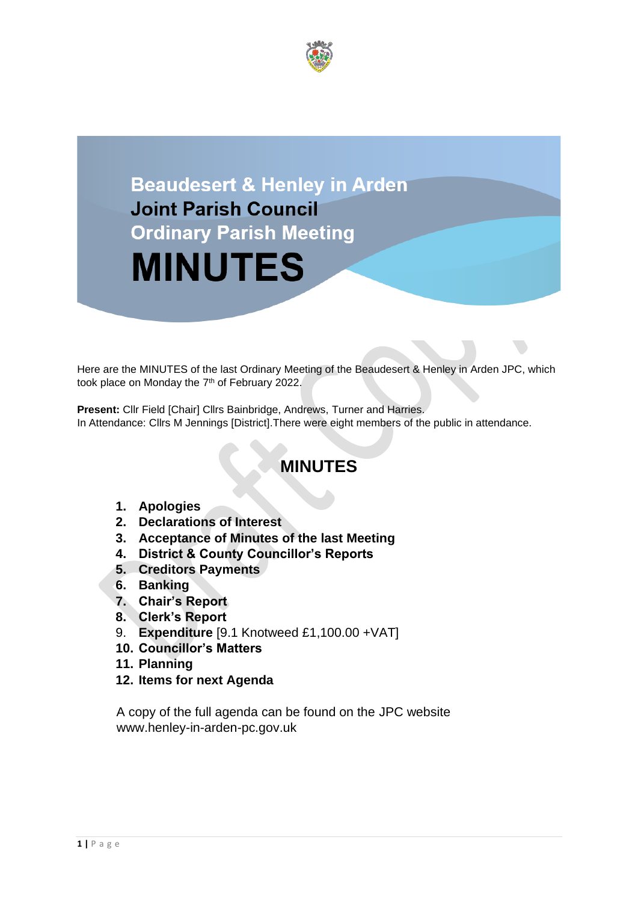

# **Beaudesert & Henley in Arden Joint Parish Council Ordinary Parish Meeting MINUTES**

Here are the MINUTES of the last Ordinary Meeting of the Beaudesert & Henley in Arden JPC, which took place on Monday the 7<sup>th</sup> of February 2022.

**Present: Cllr Field [Chair] Cllrs Bainbridge, Andrews, Turner and Harries.** In Attendance: Cllrs M Jennings [District].There were eight members of the public in attendance.

# **MINUTES**

- **1. Apologies**
- **2. Declarations of Interest**
- **3. Acceptance of Minutes of the last Meeting**
- **4. District & County Councillor's Reports**
- **5. Creditors Payments**
- **6. Banking**
- **7. Chair's Report**
- **8. Clerk's Report**
- 9. **Expenditure** [9.1 Knotweed £1,100.00 +VAT]
- **10. Councillor's Matters**
- **11. Planning**
- **12. Items for next Agenda**

A copy of the full agenda can be found on the JPC website www.henley-in-arden-pc.gov.uk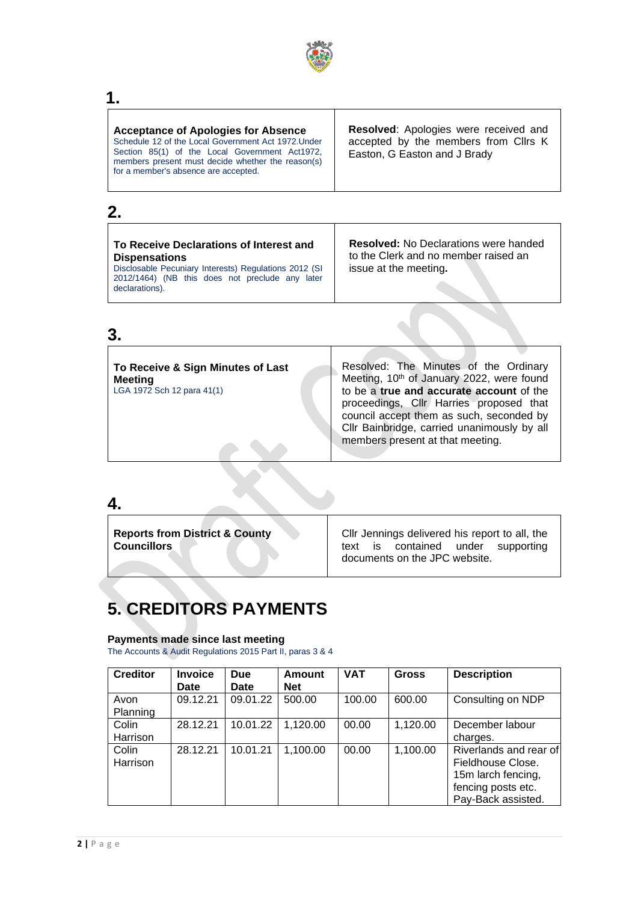

# **1.**

# **2.**

| To Receive Declarations of Interest and<br><b>Dispensations</b><br>Disclosable Pecuniary Interests) Regulations 2012 (SI<br>2012/1464) (NB this does not preclude any later<br>declarations). | <b>Resolved:</b> No Declarations were handed<br>to the Clerk and no member raised an<br>issue at the meeting. |
|-----------------------------------------------------------------------------------------------------------------------------------------------------------------------------------------------|---------------------------------------------------------------------------------------------------------------|
|                                                                                                                                                                                               |                                                                                                               |

## **3.**

| To Receive & Sign Minutes of Last<br><b>Meeting</b><br>LGA 1972 Sch 12 para 41(1) | Resolved: The Minutes of the Ordinary<br>Meeting, 10th of January 2022, were found<br>to be a true and accurate account of the<br>proceedings, Cllr Harries proposed that<br>council accept them as such, seconded by<br>Cllr Bainbridge, carried unanimously by all<br>members present at that meeting. |
|-----------------------------------------------------------------------------------|----------------------------------------------------------------------------------------------------------------------------------------------------------------------------------------------------------------------------------------------------------------------------------------------------------|
|                                                                                   |                                                                                                                                                                                                                                                                                                          |

### **4.**

**Reports from District & County Councillors**

Cllr Jennings delivered his report to all, the text is contained under supporting documents on the JPC website.

# **5. CREDITORS PAYMENTS**

### **Payments made since last meeting**

The Accounts & Audit Regulations 2015 Part II, paras 3 & 4

| <b>Creditor</b> | <b>Invoice</b> | <b>Due</b> | Amount     | <b>VAT</b> | <b>Gross</b> | <b>Description</b>     |
|-----------------|----------------|------------|------------|------------|--------------|------------------------|
|                 | <b>Date</b>    | Date       | <b>Net</b> |            |              |                        |
| Avon            | 09.12.21       | 09.01.22   | 500.00     | 100.00     | 600.00       | Consulting on NDP      |
| Planning        |                |            |            |            |              |                        |
| Colin           | 28.12.21       | 10.01.22   | 1,120.00   | 00.00      | 1,120.00     | December labour        |
| Harrison        |                |            |            |            |              | charges.               |
| Colin           | 28.12.21       | 10.01.21   | 1,100.00   | 00.00      | 1,100.00     | Riverlands and rear of |
| Harrison        |                |            |            |            |              | Fieldhouse Close.      |
|                 |                |            |            |            |              | 15m larch fencing,     |
|                 |                |            |            |            |              | fencing posts etc.     |
|                 |                |            |            |            |              | Pay-Back assisted.     |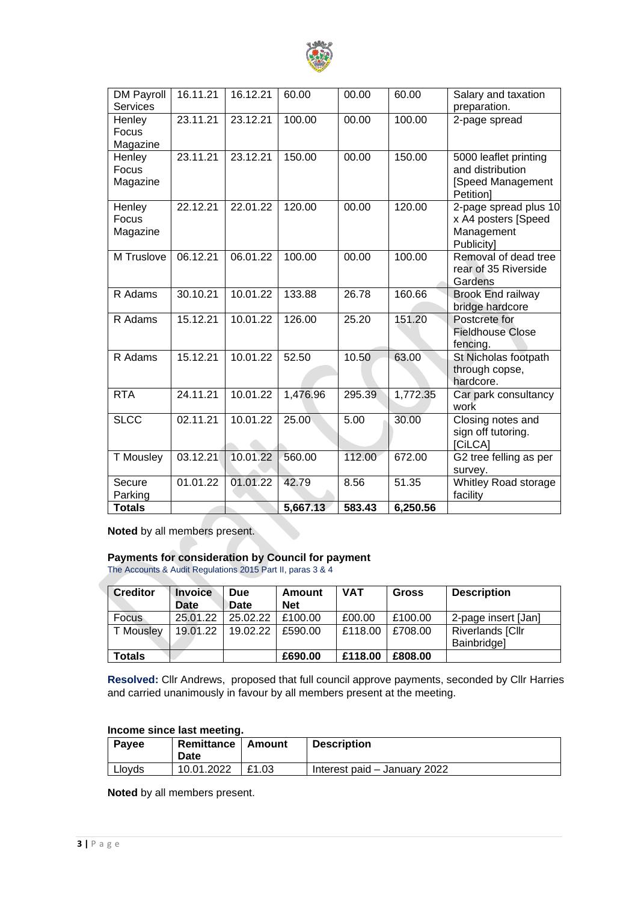

| <b>DM Payroll</b><br><b>Services</b> | 16.11.21 | 16.12.21 | 60.00    | 00.00  | 60.00    | Salary and taxation<br>preparation.                                         |
|--------------------------------------|----------|----------|----------|--------|----------|-----------------------------------------------------------------------------|
| Henley<br>Focus<br>Magazine          | 23.11.21 | 23.12.21 | 100.00   | 00.00  | 100.00   | 2-page spread                                                               |
| Henley<br>Focus<br>Magazine          | 23.11.21 | 23.12.21 | 150.00   | 00.00  | 150.00   | 5000 leaflet printing<br>and distribution<br>[Speed Management<br>Petition] |
| Henley<br>Focus<br>Magazine          | 22.12.21 | 22.01.22 | 120.00   | 00.00  | 120.00   | 2-page spread plus 10<br>x A4 posters [Speed<br>Management<br>Publicity]    |
| M Truslove                           | 06.12.21 | 06.01.22 | 100.00   | 00.00  | 100.00   | Removal of dead tree<br>rear of 35 Riverside<br>Gardens                     |
| R Adams                              | 30.10.21 | 10.01.22 | 133.88   | 26.78  | 160.66   | <b>Brook End railway</b><br>bridge hardcore                                 |
| R Adams                              | 15.12.21 | 10.01.22 | 126.00   | 25.20  | 151.20   | Postcrete for<br><b>Fieldhouse Close</b><br>fencing.                        |
| R Adams                              | 15.12.21 | 10.01.22 | 52.50    | 10.50  | 63.00    | St Nicholas footpath<br>through copse,<br>hardcore.                         |
| <b>RTA</b>                           | 24.11.21 | 10.01.22 | 1,476.96 | 295.39 | 1,772.35 | Car park consultancy<br>work                                                |
| <b>SLCC</b>                          | 02.11.21 | 10.01.22 | 25.00    | 5.00   | 30.00    | Closing notes and<br>sign off tutoring.<br>[CiLCA]                          |
| T Mousley                            | 03.12.21 | 10.01.22 | 560.00   | 112.00 | 672.00   | G2 tree felling as per<br>survey.                                           |
| Secure<br>Parking                    | 01.01.22 | 01.01.22 | 42.79    | 8.56   | 51.35    | Whitley Road storage<br>facility                                            |
| <b>Totals</b>                        |          |          | 5,667.13 | 583.43 | 6,250.56 |                                                                             |

**Noted** by all members present.

### **Payments for consideration by Council for payment**

The Accounts & Audit Regulations 2015 Part II, paras 3 & 4

| <b>Creditor</b>  | <b>Invoice</b><br><b>Date</b> | <b>Due</b><br>Date | Amount<br><b>Net</b> | <b>VAT</b> | <b>Gross</b> | <b>Description</b>                     |
|------------------|-------------------------------|--------------------|----------------------|------------|--------------|----------------------------------------|
| Focus            | 25.01.22                      | 25.02.22           | £100.00              | £00.00     | £100.00      | 2-page insert [Jan]                    |
| <b>T</b> Mousley | 19.01.22                      | 19.02.22           | £590.00              | £118.00    | £708.00      | <b>Riverlands [Cllr</b><br>Bainbridge] |
| <b>Totals</b>    |                               |                    | £690.00              | £118.00    | £808.00      |                                        |

**Resolved:** Cllr Andrews, proposed that full council approve payments, seconded by Cllr Harries and carried unanimously in favour by all members present at the meeting.

### **Income since last meeting.**

| Payee  | Remittance   Amount<br>Date |       | <b>Description</b>           |
|--------|-----------------------------|-------|------------------------------|
| Lloyds | 10.01.2022                  | £1.03 | Interest paid – January 2022 |

**Noted** by all members present.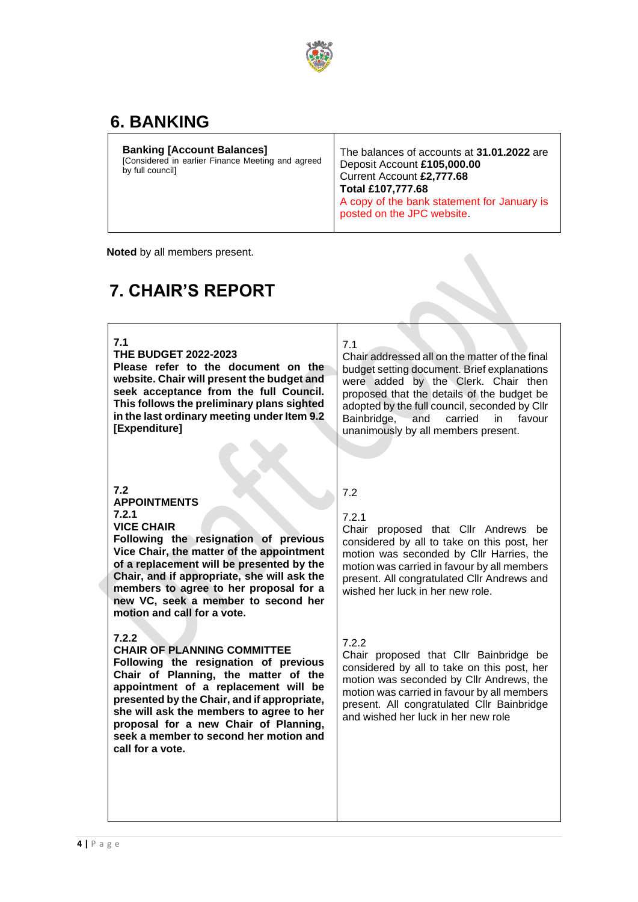

# **6. BANKING**

 **Noted** by all members present.

# **7. CHAIR'S REPORT**

**7.1**

**THE BUDGET 2022-2023**

**Please refer to the document on the website. Chair will present the budget and seek acceptance from the full Council. This follows the preliminary plans sighted in the last ordinary meeting under Item 9.2 [Expenditure]**

### 7.1

Chair addressed all on the matter of the final budget setting document. Brief explanations were added by the Clerk. Chair then proposed that the details of the budget be adopted by the full council, seconded by Cllr Bainbridge, and carried in favour unanimously by all members present.

### **7.2**

**APPOINTMENTS 7.2.1**

**VICE CHAIR**

**Following the resignation of previous Vice Chair, the matter of the appointment of a replacement will be presented by the Chair, and if appropriate, she will ask the members to agree to her proposal for a new VC, seek a member to second her motion and call for a vote.**

### **7.2.2**

### **CHAIR OF PLANNING COMMITTEE**

**Following the resignation of previous Chair of Planning, the matter of the appointment of a replacement will be presented by the Chair, and if appropriate, she will ask the members to agree to her proposal for a new Chair of Planning, seek a member to second her motion and call for a vote.**

### 7.2 7.2.1

Chair proposed that Cllr Andrews be considered by all to take on this post, her motion was seconded by Cllr Harries, the motion was carried in favour by all members present. All congratulated Cllr Andrews and wished her luck in her new role.

### 7.2.2

Chair proposed that Cllr Bainbridge be considered by all to take on this post, her motion was seconded by Cllr Andrews, the motion was carried in favour by all members present. All congratulated Cllr Bainbridge and wished her luck in her new role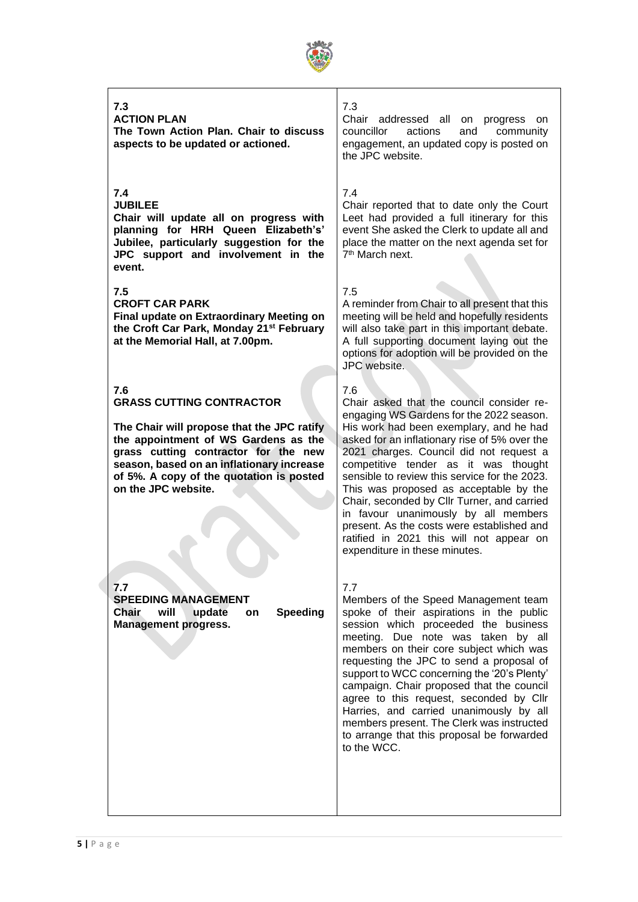

### **7.3**

**ACTION PLAN The Town Action Plan. Chair to discuss aspects to be updated or actioned.**

### **7.4**

**JUBILEE**

**Chair will update all on progress with planning for HRH Queen Elizabeth's' Jubilee, particularly suggestion for the JPC support and involvement in the event.**

### **7.5**

**CROFT CAR PARK Final update on Extraordinary Meeting on the Croft Car Park, Monday 21st February at the Memorial Hall, at 7.00pm.**

### **7.6 GRASS CUTTING CONTRACTOR**

**The Chair will propose that the JPC ratify the appointment of WS Gardens as the grass cutting contractor for the new season, based on an inflationary increase of 5%. A copy of the quotation is posted on the JPC website.**

**7.7 SPEEDING MANAGEMENT Chair will update on Speeding Management progress.** 

### 7.3

Chair addressed all on progress on councillor actions and community engagement, an updated copy is posted on the JPC website.

### 7.4

Chair reported that to date only the Court Leet had provided a full itinerary for this event She asked the Clerk to update all and place the matter on the next agenda set for 7<sup>th</sup> March next.

### 7.5

A reminder from Chair to all present that this meeting will be held and hopefully residents will also take part in this important debate. A full supporting document laying out the options for adoption will be provided on the JPC website.

### 7.6

Chair asked that the council consider reengaging WS Gardens for the 2022 season. His work had been exemplary, and he had asked for an inflationary rise of 5% over the 2021 charges. Council did not request a competitive tender as it was thought sensible to review this service for the 2023. This was proposed as acceptable by the Chair, seconded by Cllr Turner, and carried in favour unanimously by all members present. As the costs were established and ratified in 2021 this will not appear on expenditure in these minutes.

### 7.7

Members of the Speed Management team spoke of their aspirations in the public session which proceeded the business meeting. Due note was taken by all members on their core subject which was requesting the JPC to send a proposal of support to WCC concerning the '20's Plenty' campaign. Chair proposed that the council agree to this request, seconded by Cllr Harries, and carried unanimously by all members present. The Clerk was instructed to arrange that this proposal be forwarded to the WCC.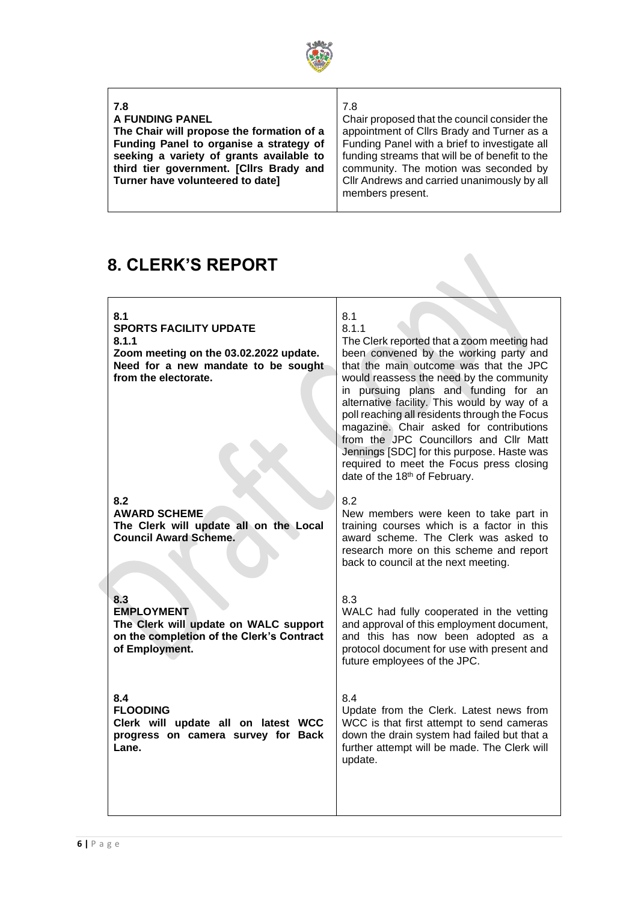

| 7.8                                       | 7.8                                            |
|-------------------------------------------|------------------------------------------------|
| A FUNDING PANEL                           | Chair proposed that the council consider the   |
| The Chair will propose the formation of a | appointment of Cllrs Brady and Turner as a     |
| Funding Panel to organise a strategy of   | Funding Panel with a brief to investigate all  |
| seeking a variety of grants available to  | funding streams that will be of benefit to the |
| third tier government. [Cllrs Brady and   | community. The motion was seconded by          |
| Turner have volunteered to date]          | Cllr Andrews and carried unanimously by all    |
|                                           | members present.                               |

# **8. CLERK'S REPORT**

# **8.1 SPORTS FACILITY UPDATE 8.1.1 Zoom meeting on the 03.02.2022 update. Need for a new mandate to be sought from the electorate.**

### **8.2 AWARD SCHEME The Clerk will update all on the Local Council Award Scheme.**

**8.3 EMPLOYMENT The Clerk will update on WALC support on the completion of the Clerk's Contract of Employment.**

**8.4 FLOODING Clerk will update all on latest WCC progress on camera survey for Back Lane.**

### 8.1 8.1.1

The Clerk reported that a zoom meeting had been convened by the working party and that the main outcome was that the JPC would reassess the need by the community in pursuing plans and funding for an alternative facility. This would by way of a poll reaching all residents through the Focus magazine. Chair asked for contributions from the JPC Councillors and Cllr Matt Jennings [SDC] for this purpose. Haste was required to meet the Focus press closing date of the 18th of February.

### 8.2

New members were keen to take part in training courses which is a factor in this award scheme. The Clerk was asked to research more on this scheme and report back to council at the next meeting.

### 8.3

WALC had fully cooperated in the vetting and approval of this employment document, and this has now been adopted as a protocol document for use with present and future employees of the JPC.

### 8.4

Update from the Clerk. Latest news from WCC is that first attempt to send cameras down the drain system had failed but that a further attempt will be made. The Clerk will update.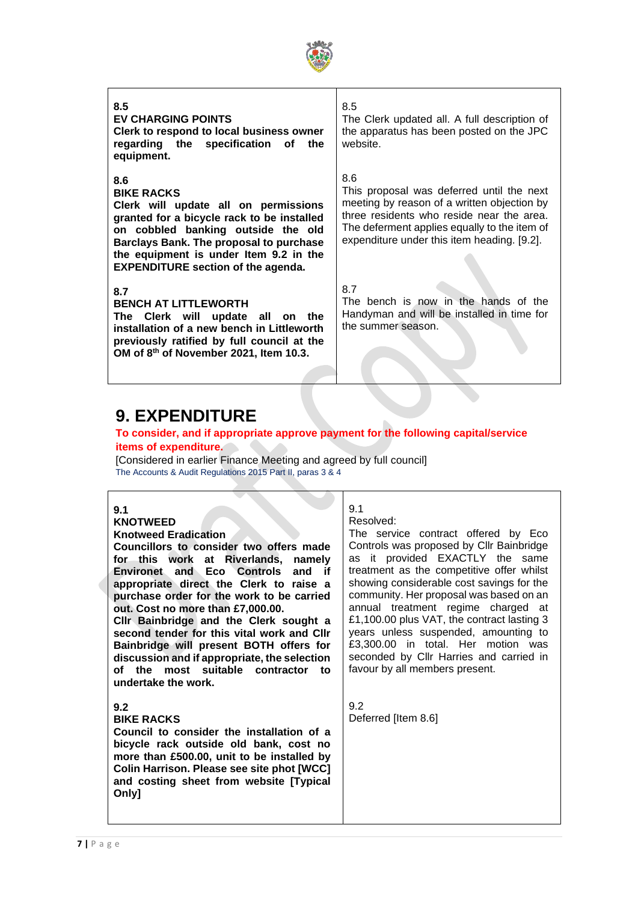

### **8.5 EV CHARGING POINTS Clerk to respond to local business owner regarding the specification of the equipment. 8.6 BIKE RACKS Clerk will update all on permissions granted for a bicycle rack to be installed on cobbled banking outside the old Barclays Bank. The proposal to purchase the equipment is under Item 9.2 in the EXPENDITURE section of the agenda. 8.7 BENCH AT LITTLEWORTH The Clerk will update all on the installation of a new bench in Littleworth previously ratified by full council at the OM of 8th of November 2021, Item 10.3.** 8.5 The Clerk updated all. A full description of the apparatus has been posted on the JPC website. 8.6 This proposal was deferred until the next meeting by reason of a written objection by three residents who reside near the area. The deferment applies equally to the item of expenditure under this item heading. [9.2]. 8.7 The bench is now in the hands of the Handyman and will be installed in time for the summer season.

# **9. EXPENDITURE**

### **To consider, and if appropriate approve payment for the following capital/service items of expenditure.**

[Considered in earlier Finance Meeting and agreed by full council] The Accounts & Audit Regulations 2015 Part II, paras 3 & 4

### **9.1**

### **KNOTWEED**

### **Knotweed Eradication**

**Councillors to consider two offers made for this work at Riverlands, namely Environet and Eco Controls and if appropriate direct the Clerk to raise a purchase order for the work to be carried out. Cost no more than £7,000.00.**

**Cllr Bainbridge and the Clerk sought a second tender for this vital work and Cllr Bainbridge will present BOTH offers for discussion and if appropriate, the selection of the most suitable contractor to undertake the work.**

### **9.2**

### **BIKE RACKS**

**Council to consider the installation of a bicycle rack outside old bank, cost no more than £500.00, unit to be installed by Colin Harrison. Please see site phot [WCC] and costing sheet from website [Typical Only]**

### 9.1 Resolved:

The service contract offered by Eco Controls was proposed by Cllr Bainbridge as it provided EXACTLY the same treatment as the competitive offer whilst showing considerable cost savings for the community. Her proposal was based on an annual treatment regime charged at £1,100.00 plus VAT, the contract lasting 3 years unless suspended, amounting to £3,300.00 in total. Her motion was seconded by Cllr Harries and carried in favour by all members present.

9.2 Deferred [Item 8.6]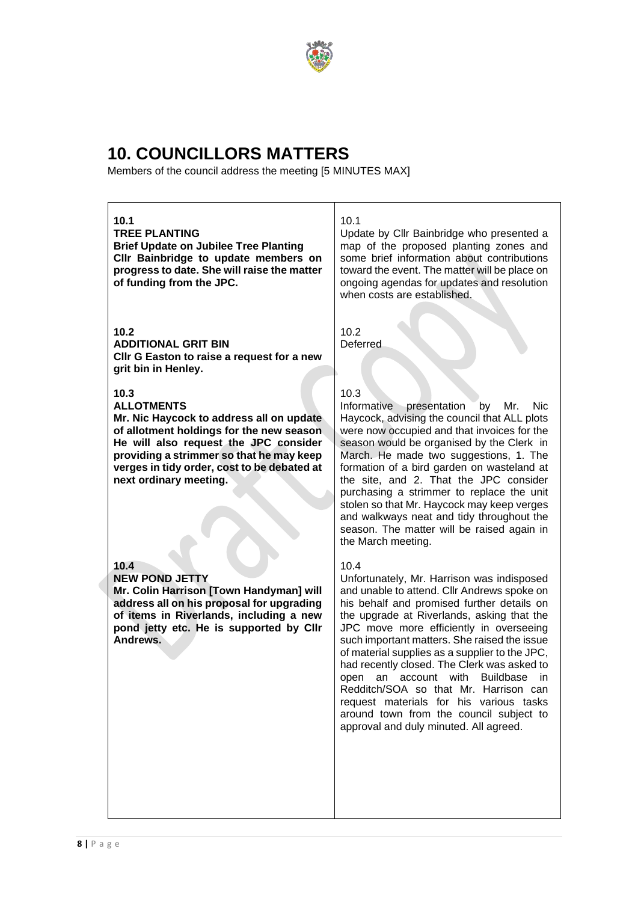

# **10. COUNCILLORS MATTERS**

Members of the council address the meeting [5 MINUTES MAX]

### **10.1**

**TREE PLANTING Brief Update on Jubilee Tree Planting Cllr Bainbridge to update members on progress to date. She will raise the matter of funding from the JPC.**

### **10.2**

**ADDITIONAL GRIT BIN Cllr G Easton to raise a request for a new grit bin in Henley.**

### **10.3**

**ALLOTMENTS**

**Mr. Nic Haycock to address all on update of allotment holdings for the new season He will also request the JPC consider providing a strimmer so that he may keep verges in tidy order, cost to be debated at next ordinary meeting.**

### **10.4**

**NEW POND JETTY Mr. Colin Harrison [Town Handyman] will address all on his proposal for upgrading of items in Riverlands, including a new pond jetty etc. He is supported by Cllr Andrews.**

### 10.1

Update by Cllr Bainbridge who presented a map of the proposed planting zones and some brief information about contributions toward the event. The matter will be place on ongoing agendas for updates and resolution when costs are established.

10.2 Deferred

### 10.3

Informative presentation by Mr. Nic Haycock, advising the council that ALL plots were now occupied and that invoices for the season would be organised by the Clerk in March. He made two suggestions, 1. The formation of a bird garden on wasteland at the site, and 2. That the JPC consider purchasing a strimmer to replace the unit stolen so that Mr. Haycock may keep verges and walkways neat and tidy throughout the season. The matter will be raised again in the March meeting.

### $10.4$

Unfortunately, Mr. Harrison was indisposed and unable to attend. Cllr Andrews spoke on his behalf and promised further details on the upgrade at Riverlands, asking that the JPC move more efficiently in overseeing such important matters. She raised the issue of material supplies as a supplier to the JPC, had recently closed. The Clerk was asked to open an account with Buildbase in Redditch/SOA so that Mr. Harrison can request materials for his various tasks around town from the council subject to approval and duly minuted. All agreed.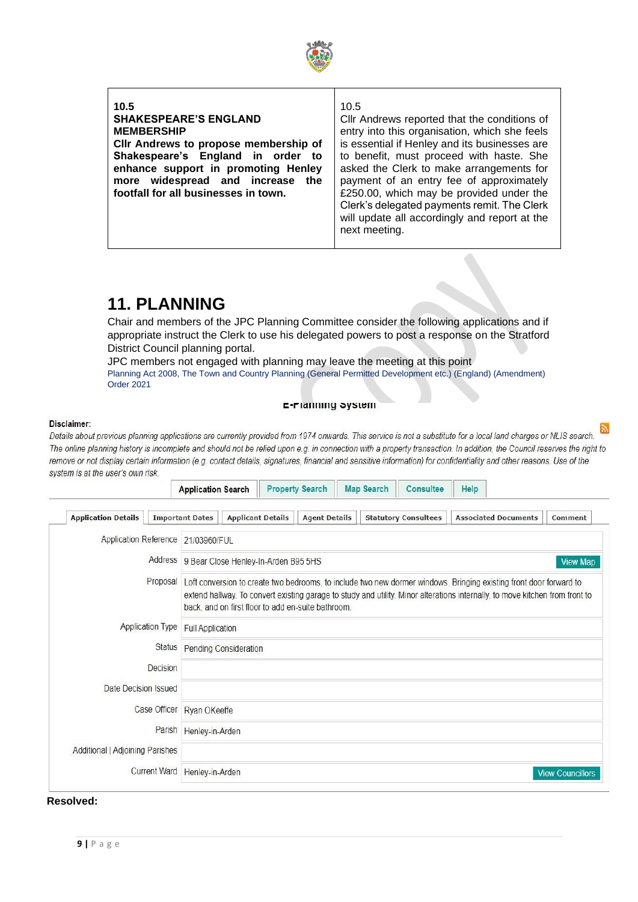

### **10.5 SHAKESPEARE'S ENGLAND MEMBERSHIP Cllr Andrews to propose membership of Shakespeare's England in order to enhance support in promoting Henley more widespread and increase the footfall for all businesses in town.** 10.5

Cllr Andrews reported that the conditions of entry into this organisation, which she feels is essential if Henley and its businesses are to benefit, must proceed with haste. She asked the Clerk to make arrangements for payment of an entry fee of approximately £250.00, which may be provided under the Clerk's delegated payments remit. The Clerk will update all accordingly and report at the next meeting.

# **11. PLANNING**

Chair and members of the JPC Planning Committee consider the following applications and if appropriate instruct the Clerk to use his delegated powers to post a response on the Stratford District Council planning portal.

JPC members not engaged with planning may leave the meeting at this point Planning Act 2008, The Town and Country Planning (General Permitted Development etc.) (England) (Amendment) Order 2021

### E-Fianning System

### Disclaimer:

Details about previous planning applications are currently provided from 1974 onwards. This service is not a substitute for a local land charges or NLIS search. The online planning history is incomplete and should not be relied upon e.g. in connection with a property transaction. In addition, the Council reserves the right to remove or not display certain information (e.g. contact details, signatures, financial and sensitive information) for confidentiality and other reasons. Use of the system is at the user's own risk.

| <b>Application Details</b>         |                         | <b>Important Dates</b>      | <b>Applicant Details</b>                                                                                                                                                                                                                                                                                 |  | <b>Agent Details</b> |  | <b>Statutory Consultees</b> | <b>Associated Documents</b> | Comment                 |
|------------------------------------|-------------------------|-----------------------------|----------------------------------------------------------------------------------------------------------------------------------------------------------------------------------------------------------------------------------------------------------------------------------------------------------|--|----------------------|--|-----------------------------|-----------------------------|-------------------------|
| Application Reference 21/03960/FUL |                         |                             |                                                                                                                                                                                                                                                                                                          |  |                      |  |                             |                             |                         |
|                                    | Address                 |                             | 9 Bear Close Henley-In-Arden B95 5HS                                                                                                                                                                                                                                                                     |  |                      |  |                             |                             | <b>View Map</b>         |
|                                    | Proposal                |                             | Loft conversion to create two bedrooms, to include two new dormer windows. Bringing existing front door forward to<br>extend hallway. To convert existing garage to study and utility. Minor alterations internally, to move kitchen from front to<br>back, and on first floor to add en-suite bathroom. |  |                      |  |                             |                             |                         |
|                                    | <b>Application Type</b> |                             | <b>Full Application</b>                                                                                                                                                                                                                                                                                  |  |                      |  |                             |                             |                         |
|                                    | Status                  |                             | Pending Consideration                                                                                                                                                                                                                                                                                    |  |                      |  |                             |                             |                         |
|                                    | Decision                |                             |                                                                                                                                                                                                                                                                                                          |  |                      |  |                             |                             |                         |
| Date Decision Issued               |                         |                             |                                                                                                                                                                                                                                                                                                          |  |                      |  |                             |                             |                         |
|                                    |                         | Case Officer   Ryan OKeeffe |                                                                                                                                                                                                                                                                                                          |  |                      |  |                             |                             |                         |
|                                    | Parish                  | Henley-in-Arden             |                                                                                                                                                                                                                                                                                                          |  |                      |  |                             |                             |                         |
| Additional   Adjoining Parishes    |                         |                             |                                                                                                                                                                                                                                                                                                          |  |                      |  |                             |                             |                         |
|                                    | <b>Current Ward</b>     | Henley-in-Arden             |                                                                                                                                                                                                                                                                                                          |  |                      |  |                             |                             | <b>View Councillors</b> |

### **Resolved:**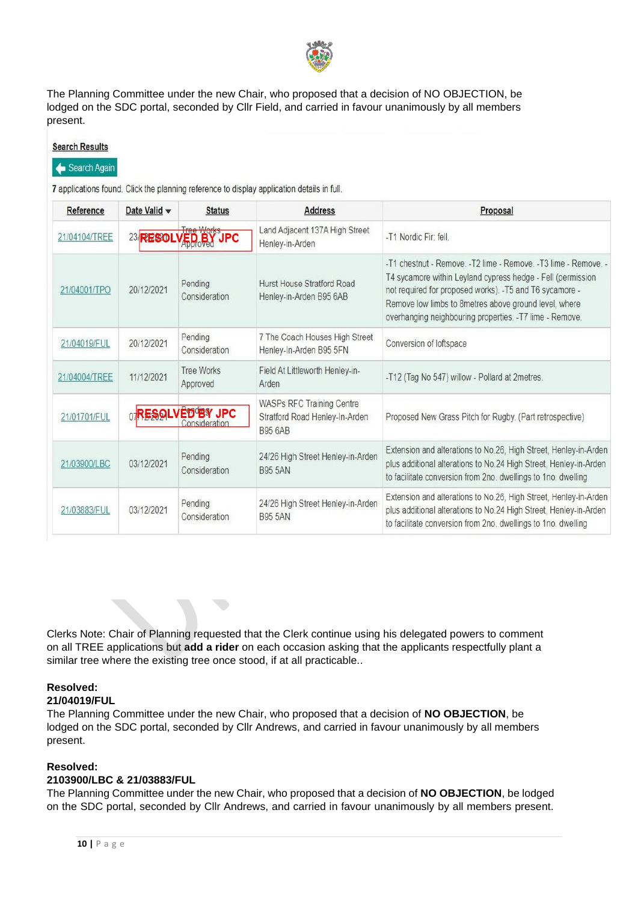

The Planning Committee under the new Chair, who proposed that a decision of NO OBJECTION, be lodged on the SDC portal, seconded by Cllr Field, and carried in favour unanimously by all members present.

| Reference     | Date Valid w   | <b>Status</b>                            | <b>Address</b>                                                                | Proposal                                                                                                                                                                                                                                                                                                  |
|---------------|----------------|------------------------------------------|-------------------------------------------------------------------------------|-----------------------------------------------------------------------------------------------------------------------------------------------------------------------------------------------------------------------------------------------------------------------------------------------------------|
| 21/04104/TREE | 23 RESOLVED BY | <b>JPC</b>                               | Land Adjacent 137A High Street<br>Henley-in-Arden                             | -T1 Nordic Fir: fell.                                                                                                                                                                                                                                                                                     |
| 21/04001/TPO  | 20/12/2021     | Pending<br>Consideration                 | Hurst House Stratford Road<br>Henley-in-Arden B95 6AB                         | -T1 chestnut - Remove -T2 lime - Remove -T3 lime - Remove -<br>T4 sycamore within Leyland cypress hedge - Fell (permission<br>not required for proposed works). -T5 and T6 sycamore -<br>Remove low limbs to 8metres above ground level, where<br>overhanging neighbouring properties. -T7 lime - Remove. |
| 21/04019/FUL  | 20/12/2021     | Pending<br>Consideration                 | 7 The Coach Houses High Street<br>Henley-In-Arden B95 5FN                     | Conversion of loftspace                                                                                                                                                                                                                                                                                   |
| 21/04004/TREE | 11/12/2021     | <b>Tree Works</b><br>Approved            | Field At Littleworth Henley-in-<br>Arden                                      | -T12 (Tag No 547) willow - Pollard at 2metres.                                                                                                                                                                                                                                                            |
| 21/01701/FUL  |                | <b>ORESOLVED BY JPC</b><br>Consideration | WASPs RFC Training Centre<br>Stratford Road Henley-In-Arden<br><b>B95 6AB</b> | Proposed New Grass Pitch for Rugby. (Part retrospective)                                                                                                                                                                                                                                                  |
| 21/03900/LBC  | 03/12/2021     | Pending<br>Consideration                 | 24/26 High Street Henley-in-Arden<br><b>B95 5AN</b>                           | Extension and alterations to No.26, High Street, Henley-in-Arden<br>plus additional alterations to No.24 High Street, Henley-in-Arden<br>to facilitate conversion from 2no. dwellings to 1no. dwelling                                                                                                    |
| 21/03883/FUL  | 03/12/2021     | Pending<br>Consideration                 | 24/26 High Street Henley-in-Arden<br><b>B95 5AN</b>                           | Extension and alterations to No.26, High Street, Henley-in-Arden<br>plus additional alterations to No.24 High Street, Henley-in-Arden<br>to facilitate conversion from 2no. dwellings to 1no. dwelling                                                                                                    |

Clerks Note: Chair of Planning requested that the Clerk continue using his delegated powers to comment on all TREE applications but **add a rider** on each occasion asking that the applicants respectfully plant a similar tree where the existing tree once stood, if at all practicable..

### **Resolved:**

### **21/04019/FUL**

The Planning Committee under the new Chair, who proposed that a decision of **NO OBJECTION**, be lodged on the SDC portal, seconded by Cllr Andrews, and carried in favour unanimously by all members present.

### **Resolved:**

### **2103900/LBC & 21/03883/FUL**

The Planning Committee under the new Chair, who proposed that a decision of **NO OBJECTION**, be lodged on the SDC portal, seconded by Cllr Andrews, and carried in favour unanimously by all members present.